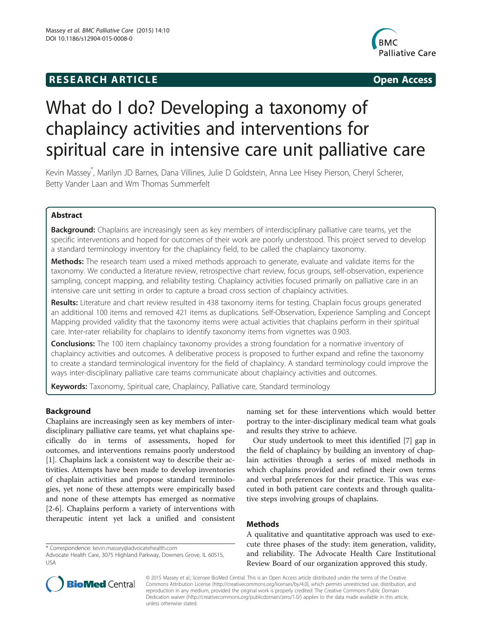# **RESEARCH ARTICLE Example 2014 The SEAR CH ACCESS**



# What do I do? Developing a taxonomy of chaplaincy activities and interventions for spiritual care in intensive care unit palliative care

Kevin Massey\* , Marilyn JD Barnes, Dana Villines, Julie D Goldstein, Anna Lee Hisey Pierson, Cheryl Scherer, Betty Vander Laan and Wm Thomas Summerfelt

# Abstract

Background: Chaplains are increasingly seen as key members of interdisciplinary palliative care teams, yet the specific interventions and hoped for outcomes of their work are poorly understood. This project served to develop a standard terminology inventory for the chaplaincy field, to be called the chaplaincy taxonomy.

Methods: The research team used a mixed methods approach to generate, evaluate and validate items for the taxonomy. We conducted a literature review, retrospective chart review, focus groups, self-observation, experience sampling, concept mapping, and reliability testing. Chaplaincy activities focused primarily on palliative care in an intensive care unit setting in order to capture a broad cross section of chaplaincy activities.

Results: Literature and chart review resulted in 438 taxonomy items for testing. Chaplain focus groups generated an additional 100 items and removed 421 items as duplications. Self-Observation, Experience Sampling and Concept Mapping provided validity that the taxonomy items were actual activities that chaplains perform in their spiritual care. Inter-rater reliability for chaplains to identify taxonomy items from vignettes was 0.903.

**Conclusions:** The 100 item chaplaincy taxonomy provides a strong foundation for a normative inventory of chaplaincy activities and outcomes. A deliberative process is proposed to further expand and refine the taxonomy to create a standard terminological inventory for the field of chaplaincy. A standard terminology could improve the ways inter-disciplinary palliative care teams communicate about chaplaincy activities and outcomes.

Keywords: Taxonomy, Spiritual care, Chaplaincy, Palliative care, Standard terminology

# Background

Chaplains are increasingly seen as key members of interdisciplinary palliative care teams, yet what chaplains specifically do in terms of assessments, hoped for outcomes, and interventions remains poorly understood [[1\]](#page-6-0). Chaplains lack a consistent way to describe their activities. Attempts have been made to develop inventories of chaplain activities and propose standard terminologies, yet none of these attempts were empirically based and none of these attempts has emerged as normative [[2-6](#page-6-0)]. Chaplains perform a variety of interventions with therapeutic intent yet lack a unified and consistent

\* Correspondence: [kevin.massey@advocatehealth.com](mailto:kevin.massey@advocatehealth.com)

naming set for these interventions which would better portray to the inter-disciplinary medical team what goals and results they strive to achieve.

Our study undertook to meet this identified [[7](#page-7-0)] gap in the field of chaplaincy by building an inventory of chaplain activities through a series of mixed methods in which chaplains provided and refined their own terms and verbal preferences for their practice. This was executed in both patient care contexts and through qualitative steps involving groups of chaplains.

# Methods

A qualitative and quantitative approach was used to execute three phases of the study: item generation, validity, and reliability. The Advocate Health Care Institutional Review Board of our organization approved this study.



© 2015 Massey et al.; licensee BioMed Central. This is an Open Access article distributed under the terms of the Creative Commons Attribution License [\(http://creativecommons.org/licenses/by/4.0\)](http://creativecommons.org/licenses/by/4.0), which permits unrestricted use, distribution, and reproduction in any medium, provided the original work is properly credited. The Creative Commons Public Domain Dedication waiver [\(http://creativecommons.org/publicdomain/zero/1.0/](http://creativecommons.org/publicdomain/zero/1.0/)) applies to the data made available in this article, unless otherwise stated.

Advocate Health Care, 3075 Highland Parkway, Downers Grove, IL 60515, USA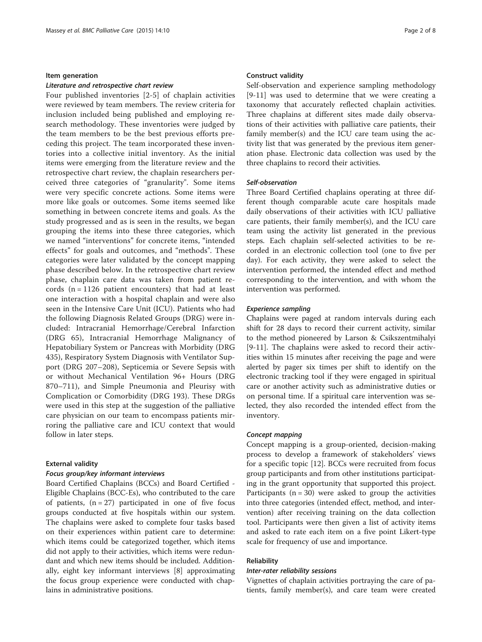#### Item generation

#### Literature and retrospective chart review

Four published inventories [[2](#page-6-0)-[5\]](#page-6-0) of chaplain activities were reviewed by team members. The review criteria for inclusion included being published and employing research methodology. These inventories were judged by the team members to be the best previous efforts preceding this project. The team incorporated these inventories into a collective initial inventory. As the initial items were emerging from the literature review and the retrospective chart review, the chaplain researchers perceived three categories of "granularity". Some items were very specific concrete actions. Some items were more like goals or outcomes. Some items seemed like something in between concrete items and goals. As the study progressed and as is seen in the results, we began grouping the items into these three categories, which we named "interventions" for concrete items, "intended effects" for goals and outcomes, and "methods". These categories were later validated by the concept mapping phase described below. In the retrospective chart review phase, chaplain care data was taken from patient records  $(n = 1126$  patient encounters) that had at least one interaction with a hospital chaplain and were also seen in the Intensive Care Unit (ICU). Patients who had the following Diagnosis Related Groups (DRG) were included: Intracranial Hemorrhage/Cerebral Infarction (DRG 65), Intracranial Hemorrhage Malignancy of Hepatobiliary System or Pancreas with Morbidity (DRG 435), Respiratory System Diagnosis with Ventilator Support (DRG 207–208), Septicemia or Severe Sepsis with or without Mechanical Ventilation 96+ Hours (DRG 870–711), and Simple Pneumonia and Pleurisy with Complication or Comorbidity (DRG 193). These DRGs were used in this step at the suggestion of the palliative care physician on our team to encompass patients mirroring the palliative care and ICU context that would follow in later steps.

#### External validity

#### Focus group/key informant interviews

Board Certified Chaplains (BCCs) and Board Certified - Eligible Chaplains (BCC-Es), who contributed to the care of patients,  $(n = 27)$  participated in one of five focus groups conducted at five hospitals within our system. The chaplains were asked to complete four tasks based on their experiences within patient care to determine: which items could be categorized together, which items did not apply to their activities, which items were redundant and which new items should be included. Additionally, eight key informant interviews [[8\]](#page-7-0) approximating the focus group experience were conducted with chaplains in administrative positions.

#### Construct validity

Self-observation and experience sampling methodology [[9-11](#page-7-0)] was used to determine that we were creating a taxonomy that accurately reflected chaplain activities. Three chaplains at different sites made daily observations of their activities with palliative care patients, their family member(s) and the ICU care team using the activity list that was generated by the previous item generation phase. Electronic data collection was used by the three chaplains to record their activities.

#### Self-observation

Three Board Certified chaplains operating at three different though comparable acute care hospitals made daily observations of their activities with ICU palliative care patients, their family member(s), and the ICU care team using the activity list generated in the previous steps. Each chaplain self-selected activities to be recorded in an electronic collection tool (one to five per day). For each activity, they were asked to select the intervention performed, the intended effect and method corresponding to the intervention, and with whom the intervention was performed.

# Experience sampling

Chaplains were paged at random intervals during each shift for 28 days to record their current activity, similar to the method pioneered by Larson & Csikszentmihalyi [[9-11](#page-7-0)]. The chaplains were asked to record their activities within 15 minutes after receiving the page and were alerted by pager six times per shift to identify on the electronic tracking tool if they were engaged in spiritual care or another activity such as administrative duties or on personal time. If a spiritual care intervention was selected, they also recorded the intended effect from the inventory.

#### Concept mapping

Concept mapping is a group-oriented, decision-making process to develop a framework of stakeholders' views for a specific topic [\[12\]](#page-7-0). BCCs were recruited from focus group participants and from other institutions participating in the grant opportunity that supported this project. Participants ( $n = 30$ ) were asked to group the activities into three categories (intended effect, method, and intervention) after receiving training on the data collection tool. Participants were then given a list of activity items and asked to rate each item on a five point Likert-type scale for frequency of use and importance.

#### Reliability

# Inter-rater reliability sessions

Vignettes of chaplain activities portraying the care of patients, family member(s), and care team were created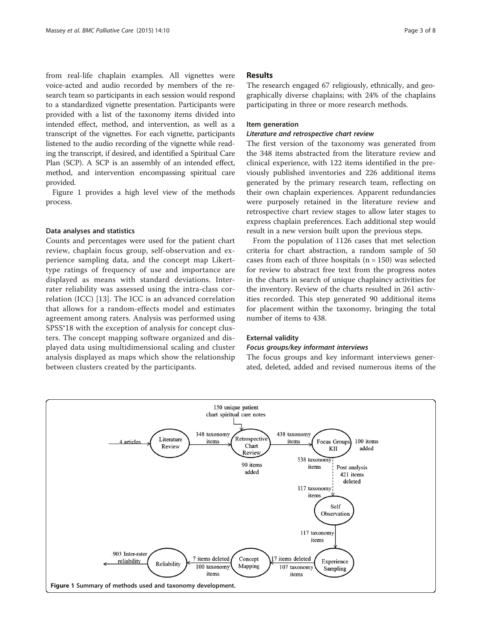from real-life chaplain examples. All vignettes were voice-acted and audio recorded by members of the research team so participants in each session would respond to a standardized vignette presentation. Participants were provided with a list of the taxonomy items divided into intended effect, method, and intervention, as well as a transcript of the vignettes. For each vignette, participants listened to the audio recording of the vignette while reading the transcript, if desired, and identified a Spiritual Care Plan (SCP). A SCP is an assembly of an intended effect, method, and intervention encompassing spiritual care provided.

Figure 1 provides a high level view of the methods process.

# Data analyses and statistics

Counts and percentages were used for the patient chart review, chaplain focus group, self-observation and experience sampling data, and the concept map Likerttype ratings of frequency of use and importance are displayed as means with standard deviations. Interrater reliability was assessed using the intra-class correlation (ICC) [[13](#page-7-0)]. The ICC is an advanced correlation that allows for a random-effects model and estimates agreement among raters. Analysis was performed using SPSS®18 with the exception of analysis for concept clusters. The concept mapping software organized and displayed data using multidimensional scaling and cluster analysis displayed as maps which show the relationship between clusters created by the participants.

# Results

The research engaged 67 religiously, ethnically, and geographically diverse chaplains; with 24% of the chaplains participating in three or more research methods.

# Item generation

# Literature and retrospective chart review

The first version of the taxonomy was generated from the 348 items abstracted from the literature review and clinical experience, with 122 items identified in the previously published inventories and 226 additional items generated by the primary research team, reflecting on their own chaplain experiences. Apparent redundancies were purposely retained in the literature review and retrospective chart review stages to allow later stages to express chaplain preferences. Each additional step would result in a new version built upon the previous steps.

From the population of 1126 cases that met selection criteria for chart abstraction, a random sample of 50 cases from each of three hospitals  $(n = 150)$  was selected for review to abstract free text from the progress notes in the charts in search of unique chaplaincy activities for the inventory. Review of the charts resulted in 261 activities recorded. This step generated 90 additional items for placement within the taxonomy, bringing the total number of items to 438.

#### External validity

# Focus groups/key informant interviews

The focus groups and key informant interviews generated, deleted, added and revised numerous items of the

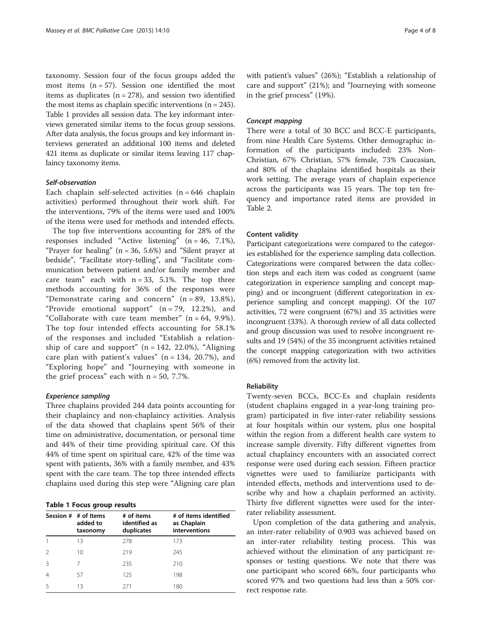taxonomy. Session four of the focus groups added the most items  $(n = 57)$ . Session one identified the most items as duplicates  $(n = 278)$ , and session two identified the most items as chaplain specific interventions ( $n = 245$ ). Table 1 provides all session data. The key informant interviews generated similar items to the focus group sessions. After data analysis, the focus groups and key informant interviews generated an additional 100 items and deleted 421 items as duplicate or similar items leaving 117 chaplaincy taxonomy items.

# Self-observation

Each chaplain self-selected activities  $(n = 646$  chaplain activities) performed throughout their work shift. For the interventions, 79% of the items were used and 100% of the items were used for methods and intended effects.

The top five interventions accounting for 28% of the responses included "Active listening" (n = 46, 7.1%), "Prayer for healing"  $(n = 36, 5.6%)$  and "Silent prayer at bedside", "Facilitate story-telling", and "Facilitate communication between patient and/or family member and care team" each with  $n = 33, 5.1\%$ . The top three methods accounting for 36% of the responses were "Demonstrate caring and concern"  $(n = 89, 13.8\%),$ "Provide emotional support"  $(n = 79, 12.2\%)$ , and "Collaborate with care team member"  $(n = 64, 9.9\%).$ The top four intended effects accounting for 58.1% of the responses and included "Establish a relationship of care and support"  $(n = 142, 22.0\%)$ , "Aligning care plan with patient's values"  $(n = 134, 20.7\%)$ , and "Exploring hope" and "Journeying with someone in the grief process" each with  $n = 50$ , 7.7%.

# Experience sampling

Three chaplains provided 244 data points accounting for their chaplaincy and non-chaplaincy activities. Analysis of the data showed that chaplains spent 56% of their time on administrative, documentation, or personal time and 44% of their time providing spiritual care. Of this 44% of time spent on spiritual care, 42% of the time was spent with patients, 36% with a family member, and 43% spent with the care team. The top three intended effects chaplains used during this step were "Aligning care plan

#### Table 1 Focus group results

|                | Session # # of Items<br>added to<br>taxonomy | # of items<br>identified as<br>duplicates | # of items identified<br>as Chaplain<br>interventions |
|----------------|----------------------------------------------|-------------------------------------------|-------------------------------------------------------|
|                | 13                                           | 278                                       | 173                                                   |
| $\mathcal{P}$  | 10                                           | 219                                       | 245                                                   |
| 3              |                                              | 235                                       | 210                                                   |
| $\overline{4}$ | 57                                           | 125                                       | 198                                                   |
| 5              | 13                                           | 271                                       | 180                                                   |

with patient's values" (26%); "Establish a relationship of care and support" (21%); and "Journeying with someone in the grief process" (19%).

#### Concept mapping

There were a total of 30 BCC and BCC-E participants, from nine Health Care Systems. Other demographic information of the participants included: 23% Non-Christian, 67% Christian, 57% female, 73% Caucasian, and 80% of the chaplains identified hospitals as their work setting. The average years of chaplain experience across the participants was 15 years. The top ten frequency and importance rated items are provided in Table [2.](#page-4-0)

#### Content validity

Participant categorizations were compared to the categories established for the experience sampling data collection. Categorizations were compared between the data collection steps and each item was coded as congruent (same categorization in experience sampling and concept mapping) and or incongruent (different categorization in experience sampling and concept mapping). Of the 107 activities, 72 were congruent (67%) and 35 activities were incongruent (33%). A thorough review of all data collected and group discussion was used to resolve incongruent results and 19 (54%) of the 35 incongruent activities retained the concept mapping categorization with two activities (6%) removed from the activity list.

#### **Reliability**

Twenty-seven BCCs, BCC-Es and chaplain residents (student chaplains engaged in a year-long training program) participated in five inter-rater reliability sessions at four hospitals within our system, plus one hospital within the region from a different health care system to increase sample diversity. Fifty different vignettes from actual chaplaincy encounters with an associated correct response were used during each session. Fifteen practice vignettes were used to familiarize participants with intended effects, methods and interventions used to describe why and how a chaplain performed an activity. Thirty five different vignettes were used for the interrater reliability assessment.

Upon completion of the data gathering and analysis, an inter-rater reliability of 0.903 was achieved based on an inter-rater reliability testing process. This was achieved without the elimination of any participant responses or testing questions. We note that there was one participant who scored 66%, four participants who scored 97% and two questions had less than a 50% correct response rate.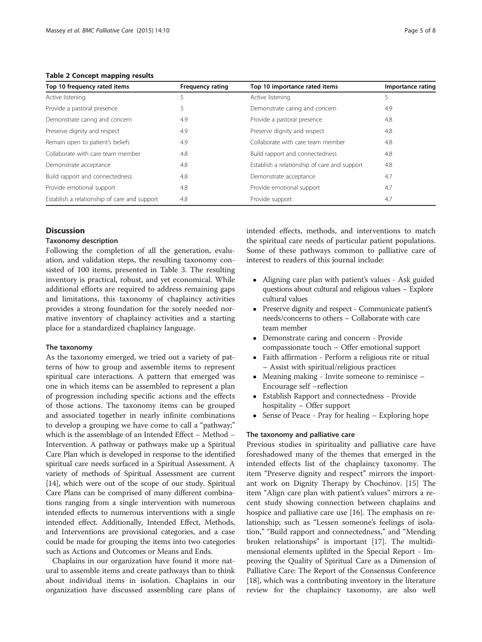| Top 10 frequency rated items                 | <b>Frequency rating</b> | Top 10 importance rated items                | Importance rating |  |
|----------------------------------------------|-------------------------|----------------------------------------------|-------------------|--|
| Active listening                             |                         | Active listening                             |                   |  |
| Provide a pastoral presence                  | 5                       | Demonstrate caring and concern               | 4.9               |  |
| Demonstrate caring and concern               | 4.9                     | Provide a pastoral presence                  | 4.8               |  |
| Preserve dignity and respect                 | 4.9                     | Preserve dignity and respect                 | 4.8               |  |
| Remain open to patient's beliefs             | 4.9                     | Collaborate with care team member            | 4.8               |  |
| Collaborate with care team member            | 4.8                     | Build rapport and connectedness              | 4.8               |  |
| Demonstrate acceptance                       | 4.8                     | Establish a relationship of care and support | 4.8               |  |
| Build rapport and connectedness              | 4.8                     | Demonstrate acceptance                       | 4.7               |  |
| Provide emotional support                    | 4.8                     | Provide emotional support                    | 4.7               |  |
| Establish a relationship of care and support | 4.8                     | Provide support                              | 4.7               |  |

#### <span id="page-4-0"></span>Table 2 Concept mapping results

# **Discussion**

# Taxonomy description

Following the completion of all the generation, evaluation, and validation steps, the resulting taxonomy consisted of 100 items, presented in Table [3.](#page-5-0) The resulting inventory is practical, robust, and yet economical. While additional efforts are required to address remaining gaps and limitations, this taxonomy of chaplaincy activities provides a strong foundation for the sorely needed normative inventory of chaplaincy activities and a starting place for a standardized chaplaincy language.

#### The taxonomy

As the taxonomy emerged, we tried out a variety of patterns of how to group and assemble items to represent spiritual care interactions. A pattern that emerged was one in which items can be assembled to represent a plan of progression including specific actions and the effects of those actions. The taxonomy items can be grouped and associated together in nearly infinite combinations to develop a grouping we have come to call a "pathway;" which is the assemblage of an Intended Effect – Method – Intervention. A pathway or pathways make up a Spiritual Care Plan which is developed in response to the identified spiritual care needs surfaced in a Spiritual Assessment. A variety of methods of Spiritual Assessment are current [[14](#page-7-0)], which were out of the scope of our study. Spiritual Care Plans can be comprised of many different combinations ranging from a single intervention with numerous intended effects to numerous interventions with a single intended effect. Additionally, Intended Effect, Methods, and Interventions are provisional categories, and a case could be made for grouping the items into two categories such as Actions and Outcomes or Means and Ends.

Chaplains in our organization have found it more natural to assemble items and create pathways than to think about individual items in isolation. Chaplains in our organization have discussed assembling care plans of intended effects, methods, and interventions to match the spiritual care needs of particular patient populations. Some of these pathways common to palliative care of interest to readers of this journal include:

- Aligning care plan with patient's values Ask guided questions about cultural and religious values – Explore cultural values
- Preserve dignity and respect Communicate patient's needs/concerns to others – Collaborate with care team member
- Demonstrate caring and concern Provide compassionate touch – Offer emotional support
- Faith affirmation Perform a religious rite or ritual – Assist with spiritual/religious practices
- Meaning making Invite someone to reminisce Encourage self –reflection
- Establish Rapport and connectedness Provide hospitality – Offer support
- Sense of Peace Pray for healing Exploring hope

# The taxonomy and palliative care

Previous studies in spirituality and palliative care have foreshadowed many of the themes that emerged in the intended effects list of the chaplaincy taxonomy. The item "Preserve dignity and respect" mirrors the important work on Dignity Therapy by Chochinov. [[15\]](#page-7-0) The item "Align care plan with patient's values" mirrors a recent study showing connection between chaplains and hospice and palliative care use [\[16](#page-7-0)]. The emphasis on relationship; such as "Lessen someone's feelings of isolation," "Build rapport and connectedness," and "Mending broken relationships" is important [[17](#page-7-0)]. The multidimensional elements uplifted in the Special Report - Improving the Quality of Spiritual Care as a Dimension of Palliative Care: The Report of the Consensus Conference [[18\]](#page-7-0), which was a contributing inventory in the literature review for the chaplaincy taxonomy, are also well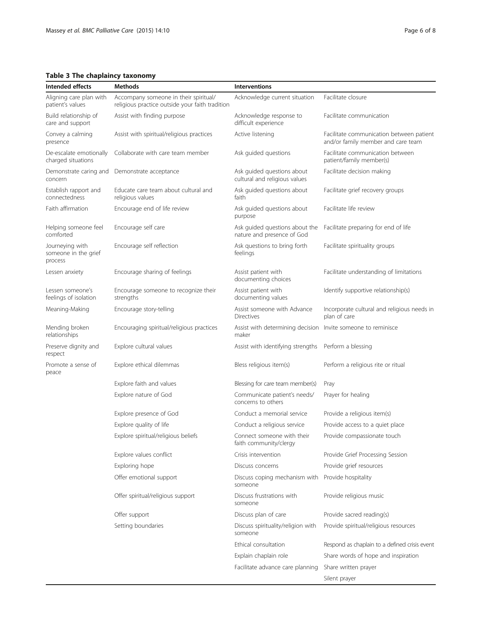# <span id="page-5-0"></span>Table 3 The chaplaincy taxonomy

| Intended effects                                   | <b>Methods</b>                                                                           | <b>Interventions</b>                                                  |                                                                                |
|----------------------------------------------------|------------------------------------------------------------------------------------------|-----------------------------------------------------------------------|--------------------------------------------------------------------------------|
| Aligning care plan with<br>patient's values        | Accompany someone in their spiritual/<br>religious practice outside your faith tradition | Acknowledge current situation                                         | Facilitate closure                                                             |
| Build relationship of<br>care and support          | Assist with finding purpose                                                              | Acknowledge response to<br>difficult experience                       | Facilitate communication                                                       |
| Convey a calming<br>presence                       | Assist with spiritual/religious practices                                                | Active listening                                                      | Facilitate communication between patient<br>and/or family member and care team |
| De-escalate emotionally<br>charged situations      | Collaborate with care team member                                                        | Ask guided questions                                                  | Facilitate communication between<br>patient/family member(s)                   |
| Demonstrate caring and<br>concern                  | Demonstrate acceptance                                                                   | Ask guided questions about<br>cultural and religious values           | Facilitate decision making                                                     |
| Establish rapport and<br>connectedness             | Educate care team about cultural and<br>religious values                                 | Ask guided questions about<br>faith                                   | Facilitate grief recovery groups                                               |
| Faith affirmation                                  | Encourage end of life review                                                             | Ask guided questions about<br>purpose                                 | Facilitate life review                                                         |
| Helping someone feel<br>comforted                  | Encourage self care                                                                      | Ask guided questions about the<br>nature and presence of God          | Facilitate preparing for end of life                                           |
| Journeying with<br>someone in the grief<br>process | Encourage self reflection                                                                | Ask questions to bring forth<br>feelings                              | Facilitate spirituality groups                                                 |
| Lessen anxiety                                     | Encourage sharing of feelings                                                            | Assist patient with<br>documenting choices                            | Facilitate understanding of limitations                                        |
| Lessen someone's<br>feelings of isolation          | Encourage someone to recognize their<br>strengths                                        | Assist patient with<br>documenting values                             | Identify supportive relationship(s)                                            |
| Meaning-Making                                     | Encourage story-telling                                                                  | Assist someone with Advance<br>Directives                             | Incorporate cultural and religious needs in<br>plan of care                    |
| Mending broken<br>relationships                    | Encouraging spiritual/religious practices                                                | Assist with determining decision Invite someone to reminisce<br>maker |                                                                                |
| Preserve dignity and<br>respect                    | Explore cultural values                                                                  | Assist with identifying strengths                                     | Perform a blessing                                                             |
| Promote a sense of<br>peace                        | Explore ethical dilemmas                                                                 | Bless religious item(s)                                               | Perform a religious rite or ritual                                             |
|                                                    | Explore faith and values                                                                 | Blessing for care team member(s)                                      | Pray                                                                           |
|                                                    | Explore nature of God                                                                    | Communicate patient's needs/<br>concerns to others                    | Prayer for healing                                                             |
|                                                    | Explore presence of God                                                                  | Conduct a memorial service                                            | Provide a religious item(s)                                                    |
|                                                    | Explore quality of life                                                                  | Conduct a religious service                                           | Provide access to a quiet place                                                |
|                                                    | Explore spiritual/religious beliefs                                                      | Connect someone with their<br>faith community/clergy                  | Provide compassionate touch                                                    |
|                                                    | Explore values conflict                                                                  | Crisis intervention                                                   | Provide Grief Processing Session                                               |
|                                                    | Exploring hope                                                                           | Discuss concerns                                                      | Provide grief resources                                                        |
|                                                    | Offer emotional support                                                                  | Discuss coping mechanism with<br>someone                              | Provide hospitality                                                            |
|                                                    | Offer spiritual/religious support                                                        | Discuss frustrations with<br>someone                                  | Provide religious music                                                        |
|                                                    | Offer support                                                                            | Discuss plan of care                                                  | Provide sacred reading(s)                                                      |
|                                                    | Setting boundaries                                                                       | Discuss spirituality/religion with<br>someone                         | Provide spiritual/religious resources                                          |
|                                                    |                                                                                          | Ethical consultation                                                  | Respond as chaplain to a defined crisis event                                  |
|                                                    |                                                                                          | Explain chaplain role                                                 | Share words of hope and inspiration                                            |
|                                                    |                                                                                          | Facilitate advance care planning                                      | Share written prayer                                                           |
|                                                    |                                                                                          |                                                                       | Silent prayer                                                                  |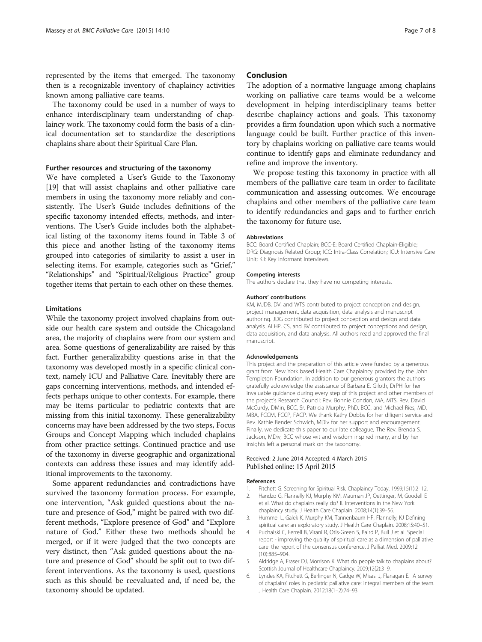<span id="page-6-0"></span>represented by the items that emerged. The taxonomy then is a recognizable inventory of chaplaincy activities known among palliative care teams.

The taxonomy could be used in a number of ways to enhance interdisciplinary team understanding of chaplaincy work. The taxonomy could form the basis of a clinical documentation set to standardize the descriptions chaplains share about their Spiritual Care Plan.

# Further resources and structuring of the taxonomy

We have completed a User's Guide to the Taxonomy [[19\]](#page-7-0) that will assist chaplains and other palliative care members in using the taxonomy more reliably and consistently. The User's Guide includes definitions of the specific taxonomy intended effects, methods, and interventions. The User's Guide includes both the alphabetical listing of the taxonomy items found in Table [3](#page-5-0) of this piece and another listing of the taxonomy items grouped into categories of similarity to assist a user in selecting items. For example, categories such as "Grief," "Relationships" and "Spiritual/Religious Practice" group together items that pertain to each other on these themes.

# Limitations

While the taxonomy project involved chaplains from outside our health care system and outside the Chicagoland area, the majority of chaplains were from our system and area. Some questions of generalizability are raised by this fact. Further generalizability questions arise in that the taxonomy was developed mostly in a specific clinical context, namely ICU and Palliative Care. Inevitably there are gaps concerning interventions, methods, and intended effects perhaps unique to other contexts. For example, there may be items particular to pediatric contexts that are missing from this initial taxonomy. These generalizability concerns may have been addressed by the two steps, Focus Groups and Concept Mapping which included chaplains from other practice settings. Continued practice and use of the taxonomy in diverse geographic and organizational contexts can address these issues and may identify additional improvements to the taxonomy.

Some apparent redundancies and contradictions have survived the taxonomy formation process. For example, one intervention, "Ask guided questions about the nature and presence of God," might be paired with two different methods, "Explore presence of God" and "Explore nature of God." Either these two methods should be merged, or if it were judged that the two concepts are very distinct, then "Ask guided questions about the nature and presence of God" should be split out to two different interventions. As the taxonomy is used, questions such as this should be reevaluated and, if need be, the taxonomy should be updated.

# Conclusion

The adoption of a normative language among chaplains working on palliative care teams would be a welcome development in helping interdisciplinary teams better describe chaplaincy actions and goals. This taxonomy provides a firm foundation upon which such a normative language could be built. Further practice of this inventory by chaplains working on palliative care teams would continue to identify gaps and eliminate redundancy and refine and improve the inventory.

We propose testing this taxonomy in practice with all members of the palliative care team in order to facilitate communication and assessing outcomes. We encourage chaplains and other members of the palliative care team to identify redundancies and gaps and to further enrich the taxonomy for future use.

#### Abbreviations

BCC: Board Certified Chaplain; BCC-E: Board Certified Chaplain-Eligible; DRG: Diagnosis Related Group; ICC: Intra-Class Correlation; ICU: Intensive Care Unit; KII: Key Informant Interviews.

#### Competing interests

The authors declare that they have no competing interests.

#### Authors' contributions

KM, MJDB, DV, and WTS contributed to project conception and design, project management, data acquisition, data analysis and manuscript authoring. JDG contributed to project conception and design and data analysis. ALHP, CS, and BV contributed to project conceptions and design, data acquisition, and data analysis. All authors read and approved the final manuscript.

#### Acknowledgements

This project and the preparation of this article were funded by a generous grant from New York based Health Care Chaplaincy provided by the John Templeton Foundation. In addition to our generous grantors the authors gratefully acknowledge the assistance of Barbara E. Giloth, DrPH for her invaluable guidance during every step of this project and other members of the project's Research Council: Rev. Bonnie Condon, MA, MTS, Rev. David McCurdy, DMin, BCC, Sr. Patricia Murphy, PhD, BCC, and Michael Ries, MD, MBA, FCCM, FCCP, FACP. We thank Kathy Dobbs for her diligent service and Rev. Kathie Bender Schwich, MDiv for her support and encouragement. Finally, we dedicate this paper to our late colleague, The Rev. Brenda S. Jackson, MDiv, BCC whose wit and wisdom inspired many, and by her insights left a personal mark on the taxonomy.

#### Received: 2 June 2014 Accepted: 4 March 2015 Published online: 15 April 2015

# References

- 1. Fitchett G. Screening for Spiritual Risk. Chaplaincy Today. 1999;15(1):2–12. 2. Handzo G, Flannelly KJ, Murphy KM, Mauman JP, Oettinger, M, Goodell E et al. What do chaplains really do? II. Interventions in the New York
- chaplaincy study. J Health Care Chaplain. 2008;14(1):39–56. 3. Hummel L, Galek K, Murphy KM, Tannenbaum HP, Flannelly, KJ Defining
- spiritual care: an exploratory study. J Health Care Chaplain. 2008;15:40–51. 4. Puchalski C, Ferrell B, Virani R, Otis-Green S, Baird P, Bull J et al. Special report - improving the quality of spiritual care as a dimension of palliative care: the report of the consensus conference. J Palliat Med. 2009;12
- (10):885–904. 5. Aldridge A, Fraser DJ, Morrison K. What do people talk to chaplains about?
- Scottish Journal of Healthcare Chaplaincy. 2009;12(2):3–9.
- 6. Lyndes KA, Fitchett G, Berlinger N, Cadge W, Misasi J, Flanagan E. A survey of chaplains' roles in pediatric palliative care: integral members of the team. J Health Care Chaplain. 2012;18(1–2):74–93.